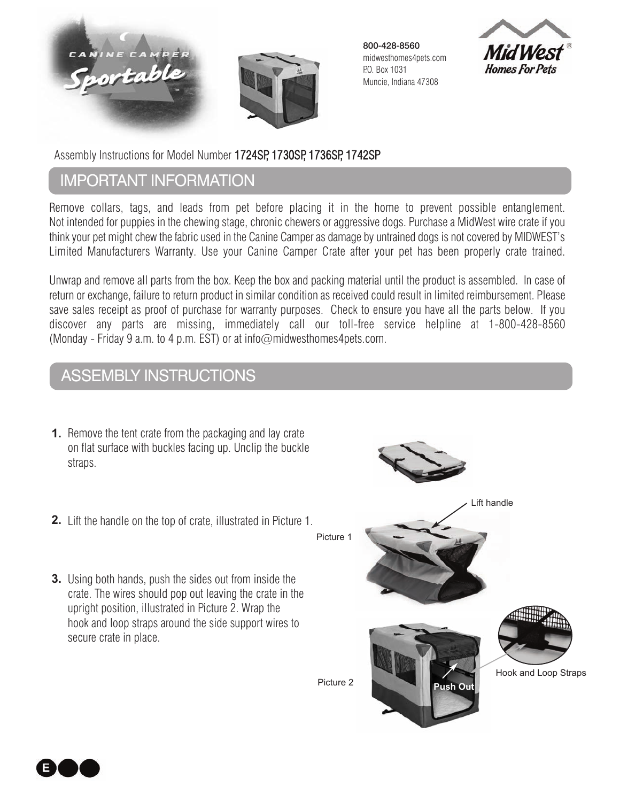



800-428-8560 midwesthomes4pets.com P.O. Box 1031 Muncie, Indiana 47308



Assembly Instructions for Model Number 1724SP, 1730SP, 1736SP, 1742SP

## ImportAnt InformAtIon

 Remove collars, tags, and leads from pet before placing it in the home to prevent possible entanglement. Not intended for puppies in the chewing stage, chronic chewers or aggressive dogs. Purchase a MidWest wire crate if you think your pet might chew the fabric used in the Canine Camper as damage by untrained dogs is not covered by MIDWEST's Limited Manufacturers Warranty. Use your Canine Camper Crate after your pet has been properly crate trained.

Unwrap and remove all parts from the box. Keep the box and packing material until the product is assembled. In case of return or exchange, failure to return product in similar condition as received could result in limited reimbursement. Please save sales receipt as proof of purchase for warranty purposes. Check to ensure you have all the parts below. If you discover any parts are missing, immediately call our toll-free service helpline at 1-800-428-8560 (Monday - Friday 9 a.m. to 4 p.m. EST) or at info@midwesthomes4pets.com.

## Assembly InstructIons

- **1.** Remove the tent crate from the packaging and lay crate on flat surface with buckles facing up. Unclip the buckle straps.
- Lift the handle on the top of crate, illustrated in Picture 1. **2.**
- **3.** Using both hands, push the sides out from inside the crate. The wires should pop out leaving the crate in the upright position, illustrated in Picture 2. Wrap the hook and loop straps around the side support wires to secure crate in place.